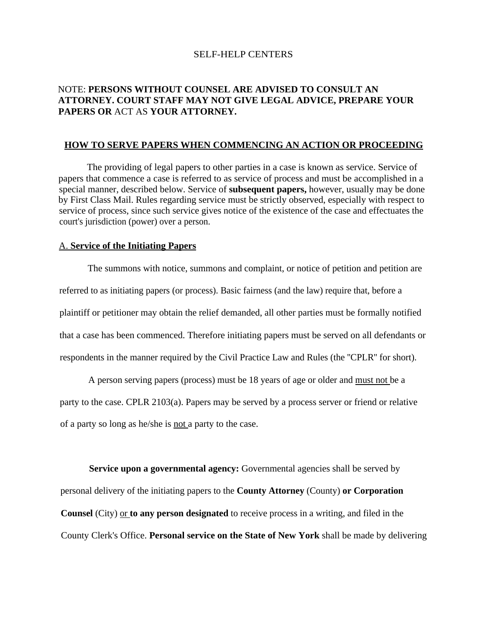## SELF-HELP CENTERS

# NOTE: **PERSONS WITHOUT COUNSEL ARE ADVISED TO CONSULT AN ATTORNEY. COURT STAFF MAY NOT GIVE LEGAL ADVICE, PREPARE YOUR PAPERS OR** ACT AS **YOUR ATTORNEY.**

#### **HOW TO SERVE PAPERS WHEN COMMENCING AN ACTION OR PROCEEDING**

. The providing of legal papers to other parties in a case is known as service. Service of papers that commence a case is referred to as service of process and must be accomplished in a special manner, described below. Service of **subsequent papers,** however, usually may be done by First Class Mail. Rules regarding service must be strictly observed, especially with respect to service of process, since such service gives notice of the existence of the case and effectuates the court's jurisdiction (power) over a person.

## A. **Service of the Initiating Papers**

The summons with notice, summons and complaint, or notice of petition and petition are referred to as initiating papers (or process). Basic fairness (and the law) require that, before a plaintiff or petitioner may obtain the relief demanded, all other parties must be formally notified that a case has been commenced. Therefore initiating papers must be served on all defendants or respondents in the manner required by the Civil Practice Law and Rules (the ''CPLR'' for short).

A person serving papers (process) must be 18 years of age or older and must not be a party to the case. CPLR 2103(a). Papers may be served by a process server or friend or relative of a party so long as he/she is not a party to the case.

**Service upon a governmental agency:** Governmental agencies shall be served by personal delivery of the initiating papers to the **County Attorney** (County) **or Corporation Counsel** (City) or **to any person designated** to receive process in a writing, and filed in the County Clerk's Office. **Personal service on the State of New York** shall be made by delivering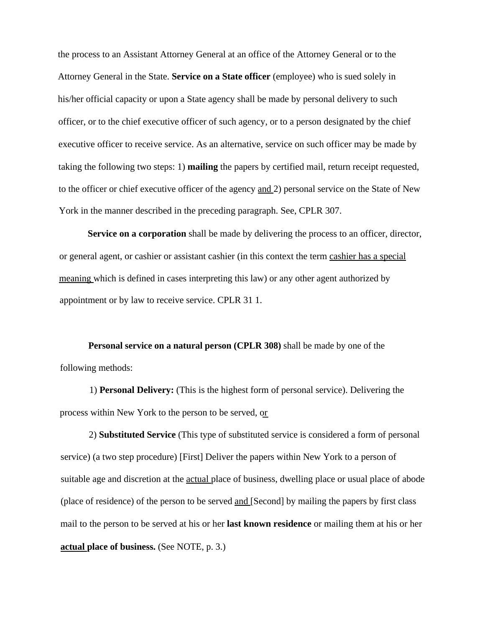the process to an Assistant Attorney General at an office of the Attorney General or to the Attorney General in the State. **Service on a State officer** (employee) who is sued solely in his/her official capacity or upon a State agency shall be made by personal delivery to such officer, or to the chief executive officer of such agency, or to a person designated by the chief executive officer to receive service. As an alternative, service on such officer may be made by taking the following two steps: 1) **mailing** the papers by certified mail, return receipt requested, to the officer or chief executive officer of the agency and 2) personal service on the State of New York in the manner described in the preceding paragraph. See, CPLR 307.

**Service on a corporation** shall be made by delivering the process to an officer, director, or general agent, or cashier or assistant cashier (in this context the term cashier has a special meaning which is defined in cases interpreting this law) or any other agent authorized by appointment or by law to receive service. CPLR 31 1.

**Personal service on a natural person (CPLR 308)** shall be made by one of the following methods:

1) **Personal Delivery:** (This is the highest form of personal service). Delivering the process within New York to the person to be served, or  $\frac{1}{2}$ 

2) **Substituted Service** (This type of substituted service is considered a form of personal service) (a two step procedure) [First] Deliver the papers within New York to a person of suitable age and discretion at the **actual** place of business, dwelling place or usual place of abode (place of residence) of the person to be served and [Second] by mailing the papers by first class mail to the person to be served at his or her **last known residence** or mailing them at his or her **actual place of business.** (See NOTE, p. 3.)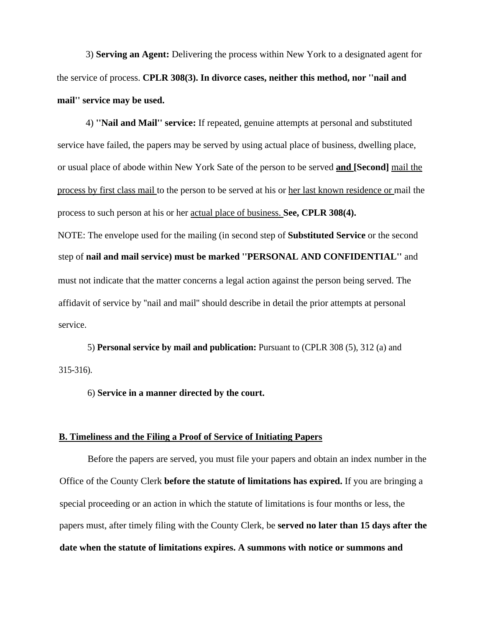3) **Serving an Agent:** Delivering the process within New York to a designated agent for the service of process. **CPLR 308(3). In divorce cases, neither this method, nor ''nail and mail'' service may be used.**

4) **''Nail and Mail'' service:** If repeated, genuine attempts at personal and substituted service have failed, the papers may be served by using actual place of business, dwelling place, or usual place of abode within New York Sate of the person to be served **and [Second]** mail the process by first class mail to the person to be served at his or her last known residence or mail the process to such person at his or her actual place of business. **See, CPLR 308(4).** NOTE: The envelope used for the mailing (in second step of **Substituted Service** or the second step of **nail and mail service) must be marked ''PERSONAL AND CONFIDENTIAL''** and must not indicate that the matter concerns a legal action against the person being served. The

affidavit of service by ''nail and mail'' should describe in detail the prior attempts at personal service.

5) **Personal service by mail and publication:** Pursuant to (CPLR 308 (5), 312 (a) and 315-316).

6) **Service in a manner directed by the court.**

# **B. Timeliness and the Filing a Proof of Service of Initiating Papers**

Before the papers are served, you must file your papers and obtain an index number in the Office of the County Clerk **before the statute of limitations has expired.** If you are bringing a special proceeding or an action in which the statute of limitations is four months or less, the papers must, after timely filing with the County Clerk, be **served no later than 15 days after the date when the statute of limitations expires. A summons with notice or summons and**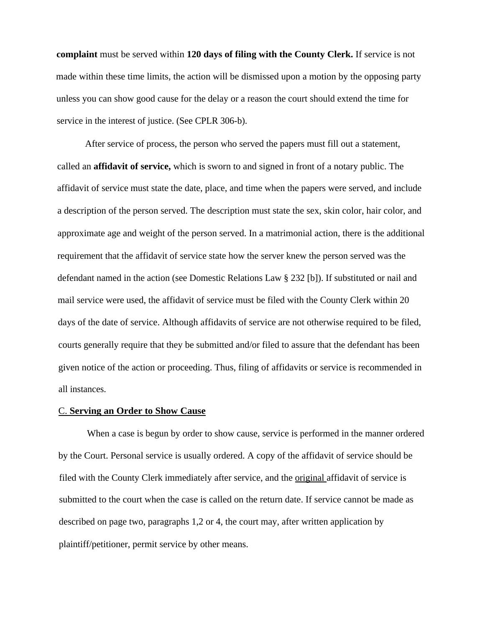**complaint** must be served within **120 days of filing with the County Clerk.** If service is not made within these time limits, the action will be dismissed upon a motion by the opposing party unless you can show good cause for the delay or a reason the court should extend the time for service in the interest of justice. (See CPLR 306-b).

After service of process, the person who served the papers must fill out a statement, called an **affidavit of service,** which is sworn to and signed in front of a notary public. The affidavit of service must state the date, place, and time when the papers were served, and include a description of the person served. The description must state the sex, skin color, hair color, and approximate age and weight of the person served. In a matrimonial action, there is the additional requirement that the affidavit of service state how the server knew the person served was the defendant named in the action (see Domestic Relations Law § 232 [b]). If substituted or nail and mail service were used, the affidavit of service must be filed with the County Clerk within 20 days of the date of service. Although affidavits of service are not otherwise required to be filed, courts generally require that they be submitted and/or filed to assure that the defendant has been given notice of the action or proceeding. Thus, filing of affidavits or service is recommended in all instances.

# C. **Serving an Order to Show Cause**

When a case is begun by order to show cause, service is performed in the manner ordered by the Court. Personal service is usually ordered. A copy of the affidavit of service should be filed with the County Clerk immediately after service, and the original affidavit of service is submitted to the court when the case is called on the return date. If service cannot be made as described on page two, paragraphs 1,2 or 4, the court may, after written application by plaintiff/petitioner, permit service by other means.